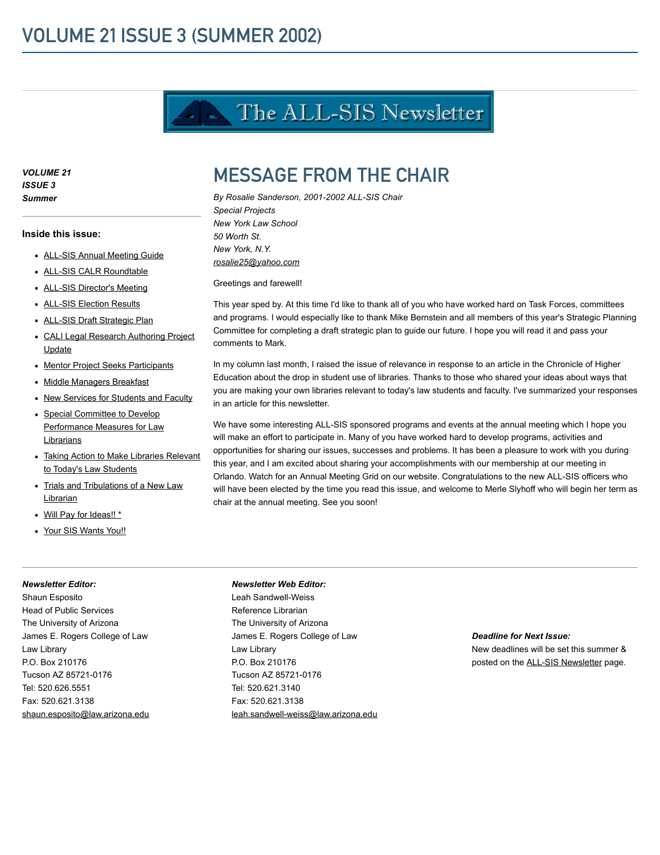# VOLUME 21 ISSUE 3 (SUMMER 2002)



VOLUME 21 ISSUE 3 Summer

#### Inside this issue:

- [ALL-SIS Annual Meeting Guide](http://www.aallnet.org/gm-node/33699.aspx)
- [ALL-SIS CALR Roundtable](http://www.aallnet.org/gm-node/33703.aspx)
- [ALL-SIS Director's Meeting](http://www.aallnet.org/gm-node/33705.aspx)
- [ALL-SIS Election Results](http://www.aallnet.org/gm-node/33706.aspx)
- [ALL-SIS Draft Strategic Plan](http://www.aallnet.org/gm-node/33713.aspx)
- [CALI Legal Research Authoring Project](http://www.aallnet.org/gm-node/33702.aspx) Update
- [Mentor Project Seeks Participants](http://www.aallnet.org/gm-node/33709.aspx)
- [Middle Managers Breakfast](http://www.aallnet.org/gm-node/33708.aspx)
- [New Services for Students and Faculty](http://www.aallnet.org/gm-node/33711.aspx)
- Special Committee to Develop [Performance Measures for Law](http://www.aallnet.org/gm-node/33712.aspx) Librarians
- [Taking Action to Make Libraries Relevant](http://www.aallnet.org/gm-node/33700.aspx) to Today's Law Students
- [Trials and Tribulations of a New Law](http://www.aallnet.org/gm-node/33710.aspx) Librarian
- [Will Pay for Ideas!! \\*](http://www.aallnet.org/gm-node/33707.aspx)
- [Your SIS Wants You!!](http://www.aallnet.org/gm-node/33704.aspx)

#### Newsletter Editor:

Shaun Esposito Head of Public Services The University of Arizona James E. Rogers College of Law Law Library P.O. Box 210176 Tucson AZ 85721-0176 Tel: 520.626.5551 Fax: 520.621.3138 [shaun.esposito@law.arizona.edu](mailto:shaun.esposito@law.arizona.edu)

## MESSAGE FROM THE CHAIR

By Rosalie Sanderson, 2001-2002 ALL-SIS Chair Special Projects New York Law School 50 Worth St. New York, N.Y. [rosalie25@yahoo.com](mailto:rsander@yahoo.com)

Greetings and farewell!

This year sped by. At this time I'd like to thank all of you who have worked hard on Task Forces, committees and programs. I would especially like to thank Mike Bernstein and all members of this year's Strategic Planning Committee for completing a draft strategic plan to guide our future. I hope you will read it and pass your comments to Mark.

In my column last month, I raised the issue of relevance in response to an article in the Chronicle of Higher Education about the drop in student use of libraries. Thanks to those who shared your ideas about ways that you are making your own libraries relevant to today's law students and faculty. I've summarized your responses in an article for this newsletter.

We have some interesting ALL-SIS sponsored programs and events at the annual meeting which I hope you will make an effort to participate in. Many of you have worked hard to develop programs, activities and opportunities for sharing our issues, successes and problems. It has been a pleasure to work with you during this year, and I am excited about sharing your accomplishments with our membership at our meeting in Orlando. Watch for an Annual Meeting Grid on our website. Congratulations to the new ALL-SIS officers who will have been elected by the time you read this issue, and welcome to Merle Slyhoff who will begin her term as chair at the annual meeting. See you soon!

#### Newsletter Web Editor:

Leah Sandwell-Weiss Reference Librarian The University of Arizona James E. Rogers College of Law Law Library P.O. Box 210176 Tucson AZ 85721-0176 Tel: 520.621.3140 Fax: 520.621.3138 [leah.sandwell-weiss@law.arizona.edu](mailto:leah.sandwell-weiss@law.arizona.edu)

#### Deadline for Next Issue:

New deadlines will be set this summer & posted on the [ALL-SIS Newsletter](http://www.aallnet.org/gm-node/41679.aspx) page.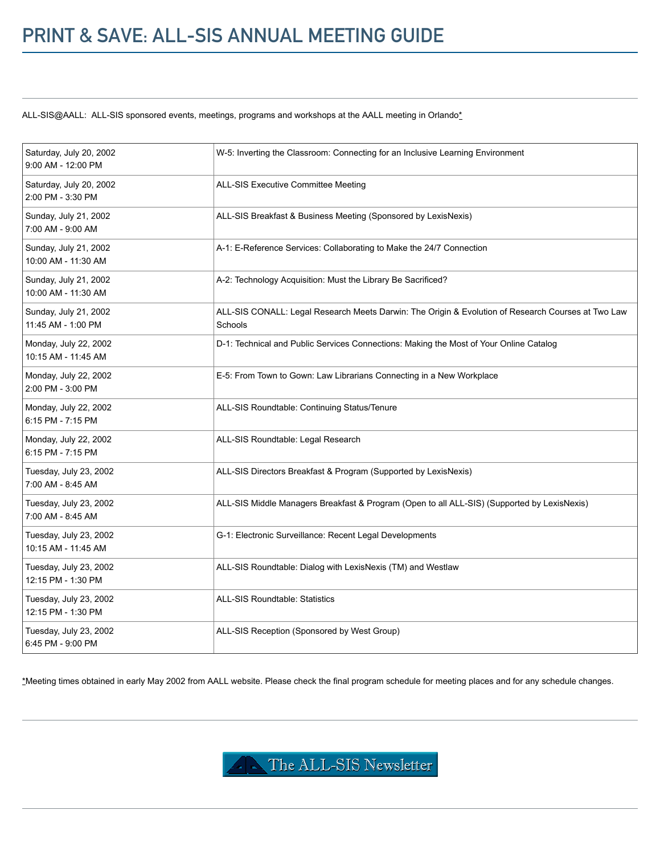<span id="page-1-1"></span>ALL-SIS@AALL: ALL-SIS sponsored events, meetings, programs and workshops at the AALL meeting in Orlando[\\*](#page-1-0)

| Saturday, July 20, 2002<br>9:00 AM - 12:00 PM | W-5: Inverting the Classroom: Connecting for an Inclusive Learning Environment                                |
|-----------------------------------------------|---------------------------------------------------------------------------------------------------------------|
| Saturday, July 20, 2002<br>2:00 PM - 3:30 PM  | ALL-SIS Executive Committee Meeting                                                                           |
| Sunday, July 21, 2002<br>7:00 AM - 9:00 AM    | ALL-SIS Breakfast & Business Meeting (Sponsored by LexisNexis)                                                |
| Sunday, July 21, 2002<br>10:00 AM - 11:30 AM  | A-1: E-Reference Services: Collaborating to Make the 24/7 Connection                                          |
| Sunday, July 21, 2002<br>10:00 AM - 11:30 AM  | A-2: Technology Acquisition: Must the Library Be Sacrificed?                                                  |
| Sunday, July 21, 2002<br>11:45 AM - 1:00 PM   | ALL-SIS CONALL: Legal Research Meets Darwin: The Origin & Evolution of Research Courses at Two Law<br>Schools |
| Monday, July 22, 2002<br>10:15 AM - 11:45 AM  | D-1: Technical and Public Services Connections: Making the Most of Your Online Catalog                        |
| Monday, July 22, 2002<br>2:00 PM - 3:00 PM    | E-5: From Town to Gown: Law Librarians Connecting in a New Workplace                                          |
| Monday, July 22, 2002<br>6:15 PM - 7:15 PM    | ALL-SIS Roundtable: Continuing Status/Tenure                                                                  |
| Monday, July 22, 2002<br>6:15 PM - 7:15 PM    | ALL-SIS Roundtable: Legal Research                                                                            |
| Tuesday, July 23, 2002<br>7:00 AM - 8:45 AM   | ALL-SIS Directors Breakfast & Program (Supported by LexisNexis)                                               |
| Tuesday, July 23, 2002<br>7:00 AM - 8:45 AM   | ALL-SIS Middle Managers Breakfast & Program (Open to all ALL-SIS) (Supported by LexisNexis)                   |
| Tuesday, July 23, 2002<br>10:15 AM - 11:45 AM | G-1: Electronic Surveillance: Recent Legal Developments                                                       |
| Tuesday, July 23, 2002<br>12:15 PM - 1:30 PM  | ALL-SIS Roundtable: Dialog with LexisNexis (TM) and Westlaw                                                   |
| Tuesday, July 23, 2002<br>12:15 PM - 1:30 PM  | <b>ALL-SIS Roundtable: Statistics</b>                                                                         |
| Tuesday, July 23, 2002<br>6:45 PM - 9:00 PM   | ALL-SIS Reception (Sponsored by West Group)                                                                   |

<span id="page-1-0"></span>[\\*M](#page-1-1)eeting times obtained in early May 2002 from AALL website. Please check the final program schedule for meeting places and for any schedule changes.

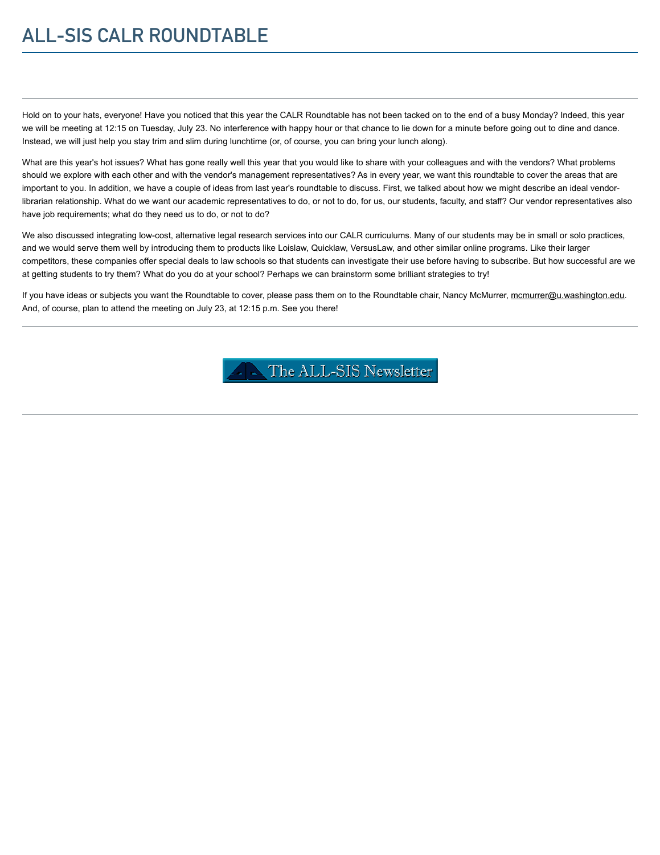Hold on to your hats, everyone! Have you noticed that this year the CALR Roundtable has not been tacked on to the end of a busy Monday? Indeed, this year we will be meeting at 12:15 on Tuesday, July 23. No interference with happy hour or that chance to lie down for a minute before going out to dine and dance. Instead, we will just help you stay trim and slim during lunchtime (or, of course, you can bring your lunch along).

What are this year's hot issues? What has gone really well this year that you would like to share with your colleagues and with the vendors? What problems should we explore with each other and with the vendor's management representatives? As in every year, we want this roundtable to cover the areas that are important to you. In addition, we have a couple of ideas from last year's roundtable to discuss. First, we talked about how we might describe an ideal vendorlibrarian relationship. What do we want our academic representatives to do, or not to do, for us, our students, faculty, and staff? Our vendor representatives also have job requirements; what do they need us to do, or not to do?

We also discussed integrating low-cost, alternative legal research services into our CALR curriculums. Many of our students may be in small or solo practices, and we would serve them well by introducing them to products like Loislaw, Quicklaw, VersusLaw, and other similar online programs. Like their larger competitors, these companies offer special deals to law schools so that students can investigate their use before having to subscribe. But how successful are we at getting students to try them? What do you do at your school? Perhaps we can brainstorm some brilliant strategies to try!

If you have ideas or subjects you want the Roundtable to cover, please pass them on to the Roundtable chair, Nancy McMurrer, [mcmurrer@u.washington.edu](mailto:mcmurrer@u.washington.edu). And, of course, plan to attend the meeting on July 23, at 12:15 p.m. See you there!

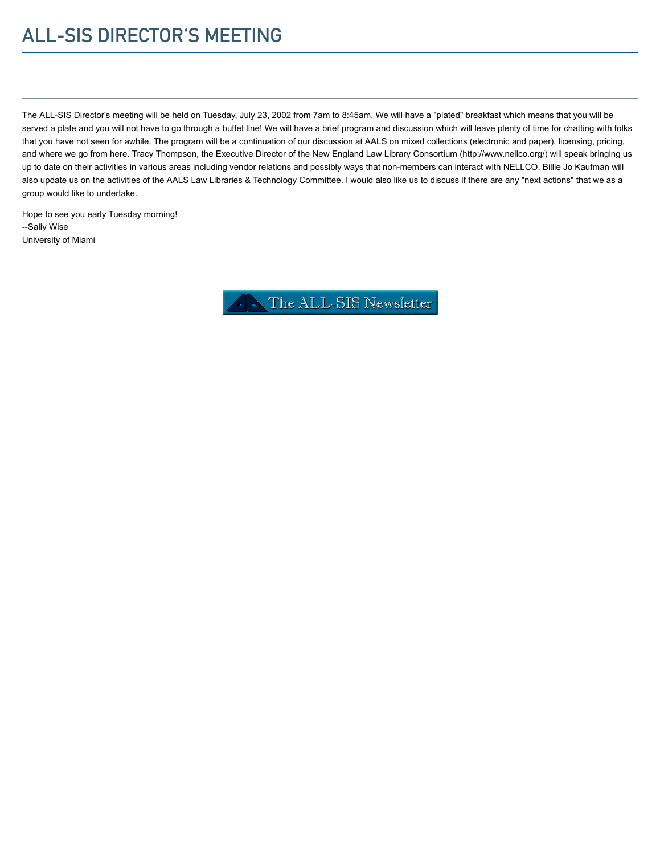The ALL-SIS Director's meeting will be held on Tuesday, July 23, 2002 from 7am to 8:45am. We will have a "plated" breakfast which means that you will be served a plate and you will not have to go through a buffet line! We will have a brief program and discussion which will leave plenty of time for chatting with folks that you have not seen for awhile. The program will be a continuation of our discussion at AALS on mixed collections (electronic and paper), licensing, pricing, and where we go from here. Tracy Thompson, the Executive Director of the New England Law Library Consortium [\(http://www.nellco.org/](http://www.nellco.org/)) will speak bringing us up to date on their activities in various areas including vendor relations and possibly ways that non-members can interact with NELLCO. Billie Jo Kaufman will also update us on the activities of the AALS Law Libraries & Technology Committee. I would also like us to discuss if there are any "next actions" that we as a group would like to undertake.

Hope to see you early Tuesday morning! --Sally Wise University of Miami

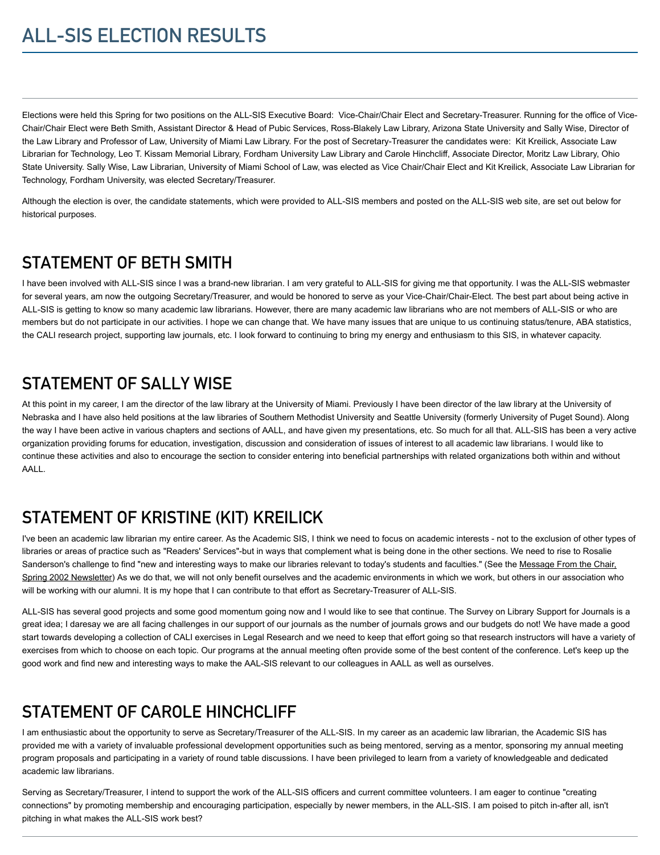Elections were held this Spring for two positions on the ALL-SIS Executive Board: Vice-Chair/Chair Elect and Secretary-Treasurer. Running for the office of Vice-Chair/Chair Elect were Beth Smith, Assistant Director & Head of Pubic Services, Ross-Blakely Law Library, Arizona State University and Sally Wise, Director of the Law Library and Professor of Law, University of Miami Law Library. For the post of Secretary-Treasurer the candidates were: Kit Kreilick, Associate Law Librarian for Technology, Leo T. Kissam Memorial Library, Fordham University Law Library and Carole Hinchcliff, Associate Director, Moritz Law Library, Ohio State University. Sally Wise, Law Librarian, University of Miami School of Law, was elected as Vice Chair/Chair Elect and Kit Kreilick, Associate Law Librarian for Technology, Fordham University, was elected Secretary/Treasurer.

Although the election is over, the candidate statements, which were provided to ALL-SIS members and posted on the ALL-SIS web site, are set out below for historical purposes.

### STATEMENT OF BETH SMITH

I have been involved with ALL-SIS since I was a brand-new librarian. I am very grateful to ALL-SIS for giving me that opportunity. I was the ALL-SIS webmaster for several years, am now the outgoing Secretary/Treasurer, and would be honored to serve as your Vice-Chair/Chair-Elect. The best part about being active in ALL-SIS is getting to know so many academic law librarians. However, there are many academic law librarians who are not members of ALL-SIS or who are members but do not participate in our activities. I hope we can change that. We have many issues that are unique to us continuing status/tenure, ABA statistics, the CALI research project, supporting law journals, etc. I look forward to continuing to bring my energy and enthusiasm to this SIS, in whatever capacity.

### STATEMENT OF SALLY WISE

At this point in my career, I am the director of the law library at the University of Miami. Previously I have been director of the law library at the University of Nebraska and I have also held positions at the law libraries of Southern Methodist University and Seattle University (formerly University of Puget Sound). Along the way I have been active in various chapters and sections of AALL, and have given my presentations, etc. So much for all that. ALL-SIS has been a very active organization providing forums for education, investigation, discussion and consideration of issues of interest to all academic law librarians. I would like to continue these activities and also to encourage the section to consider entering into beneficial partnerships with related organizations both within and without AALL.

## STATEMENT OF KRISTINE (KIT) KREILICK

I've been an academic law librarian my entire career. As the Academic SIS, I think we need to focus on academic interests - not to the exclusion of other types of libraries or areas of practice such as "Readers' Services"-but in ways that complement what is being done in the other sections. We need to rise to Rosalie [Sanderson's challenge to find "new and interesting ways to make our libraries relevant to today's students and faculties." \(See the Message From the Chair,](http://www.aallnet.org/gm-node/33678.aspx) Spring 2002 Newsletter) As we do that, we will not only benefit ourselves and the academic environments in which we work, but others in our association who will be working with our alumni. It is my hope that I can contribute to that effort as Secretary-Treasurer of ALL-SIS.

ALL-SIS has several good projects and some good momentum going now and I would like to see that continue. The Survey on Library Support for Journals is a great idea; I daresay we are all facing challenges in our support of our journals as the number of journals grows and our budgets do not! We have made a good start towards developing a collection of CALI exercises in Legal Research and we need to keep that effort going so that research instructors will have a variety of exercises from which to choose on each topic. Our programs at the annual meeting often provide some of the best content of the conference. Let's keep up the good work and find new and interesting ways to make the AAL-SIS relevant to our colleagues in AALL as well as ourselves.

## STATEMENT OF CAROLE HINCHCLIFF

I am enthusiastic about the opportunity to serve as Secretary/Treasurer of the ALL-SIS. In my career as an academic law librarian, the Academic SIS has provided me with a variety of invaluable professional development opportunities such as being mentored, serving as a mentor, sponsoring my annual meeting program proposals and participating in a variety of round table discussions. I have been privileged to learn from a variety of knowledgeable and dedicated academic law librarians.

Serving as Secretary/Treasurer, I intend to support the work of the ALL-SIS officers and current committee volunteers. I am eager to continue "creating connections" by promoting membership and encouraging participation, especially by newer members, in the ALL-SIS. I am poised to pitch in-after all, isn't pitching in what makes the ALL-SIS work best?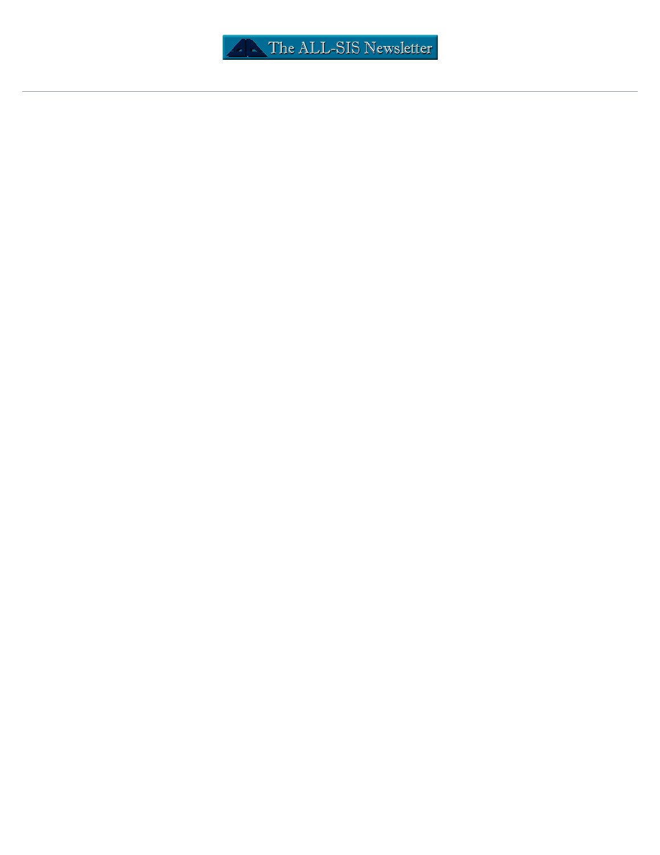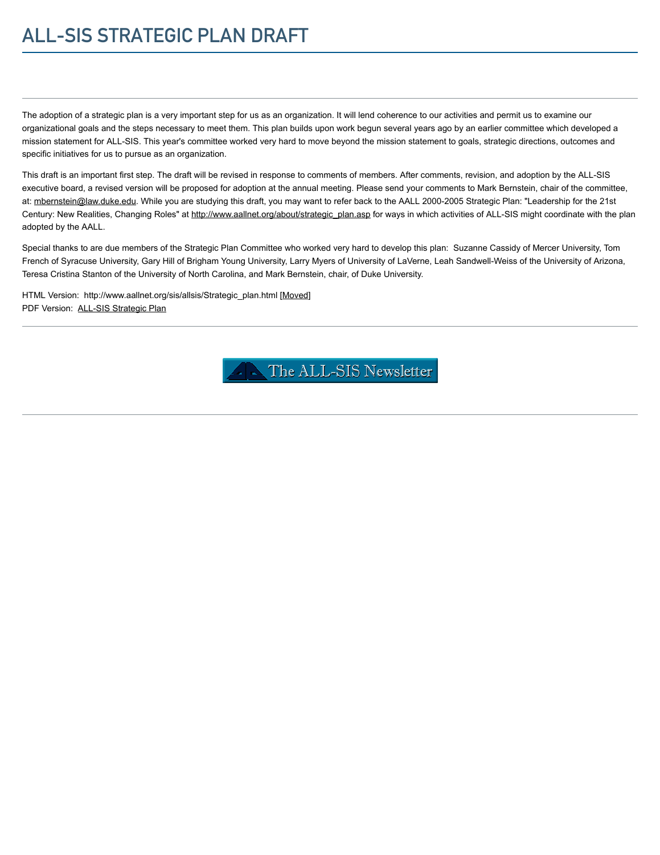## ALL-SIS STRATEGIC PLAN DRAFT

The adoption of a strategic plan is a very important step for us as an organization. It will lend coherence to our activities and permit us to examine our organizational goals and the steps necessary to meet them. This plan builds upon work begun several years ago by an earlier committee which developed a mission statement for ALL-SIS. This year's committee worked very hard to move beyond the mission statement to goals, strategic directions, outcomes and specific initiatives for us to pursue as an organization.

This draft is an important first step. The draft will be revised in response to comments of members. After comments, revision, and adoption by the ALL-SIS executive board, a revised version will be proposed for adoption at the annual meeting. Please send your comments to Mark Bernstein, chair of the committee, at: [mbernstein@law.duke.edu](mailto:mbernstein@law.duke.edu). While you are studying this draft, you may want to refer back to the AALL 2000-2005 Strategic Plan: "Leadership for the 21st Century: New Realities, Changing Roles" at [http://www.aallnet.org/about/strategic\\_plan.asp](http://www.aallnet.org/about/strategic_plan.asp) for ways in which activities of ALL-SIS might coordinate with the plan adopted by the AALL.

Special thanks to are due members of the Strategic Plan Committee who worked very hard to develop this plan: Suzanne Cassidy of Mercer University, Tom French of Syracuse University, Gary Hill of Brigham Young University, Larry Myers of University of LaVerne, Leah Sandwell-Weiss of the University of Arizona, Teresa Cristina Stanton of the University of North Carolina, and Mark Bernstein, chair, of Duke University.

HTML Version: http://www.aallnet.org/sis/allsis/Strategic\_plan.html [[Moved\]](http://www.aallnet.org/gm-node/42028.aspx) PDF Version: [ALL-SIS Strategic Plan](http://www.aallnet.org/gm-node/33701.aspx)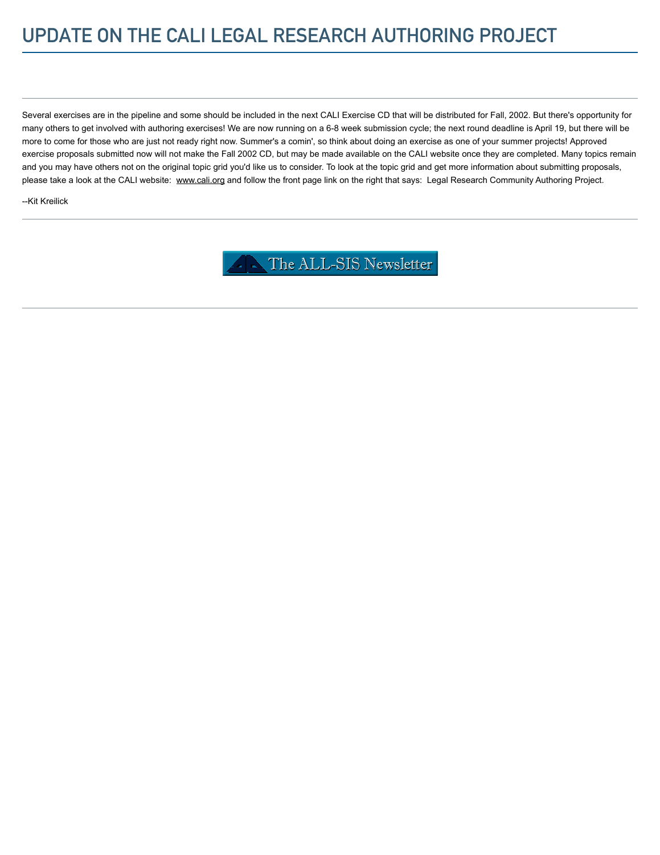## UPDATE ON THE CALI LEGAL RESEARCH AUTHORING PROJECT

Several exercises are in the pipeline and some should be included in the next CALI Exercise CD that will be distributed for Fall, 2002. But there's opportunity for many others to get involved with authoring exercises! We are now running on a 6-8 week submission cycle; the next round deadline is April 19, but there will be more to come for those who are just not ready right now. Summer's a comin', so think about doing an exercise as one of your summer projects! Approved exercise proposals submitted now will not make the Fall 2002 CD, but may be made available on the CALI website once they are completed. Many topics remain and you may have others not on the original topic grid you'd like us to consider. To look at the topic grid and get more information about submitting proposals, please take a look at the CALI website: [www.cali.org](http://www.cali.org/) and follow the front page link on the right that says: Legal Research Community Authoring Project.

--Kit Kreilick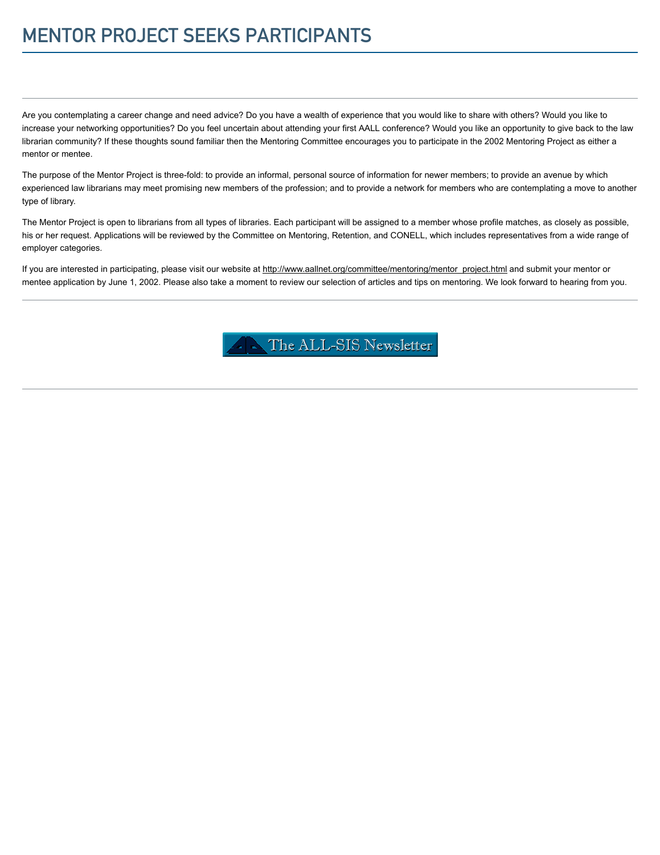## MENTOR PROJECT SEEKS PARTICIPANTS

Are you contemplating a career change and need advice? Do you have a wealth of experience that you would like to share with others? Would you like to increase your networking opportunities? Do you feel uncertain about attending your first AALL conference? Would you like an opportunity to give back to the law librarian community? If these thoughts sound familiar then the Mentoring Committee encourages you to participate in the 2002 Mentoring Project as either a mentor or mentee.

The purpose of the Mentor Project is three-fold: to provide an informal, personal source of information for newer members; to provide an avenue by which experienced law librarians may meet promising new members of the profession; and to provide a network for members who are contemplating a move to another type of library.

The Mentor Project is open to librarians from all types of libraries. Each participant will be assigned to a member whose profile matches, as closely as possible, his or her request. Applications will be reviewed by the Committee on Mentoring, Retention, and CONELL, which includes representatives from a wide range of employer categories.

If you are interested in participating, please visit our website at [http://www.aallnet.org/committee/mentoring/mentor\\_project.html](http://www.aallnet.org/committee/mentoring/mentor_project.html) and submit your mentor or mentee application by June 1, 2002. Please also take a moment to review our selection of articles and tips on mentoring. We look forward to hearing from you.

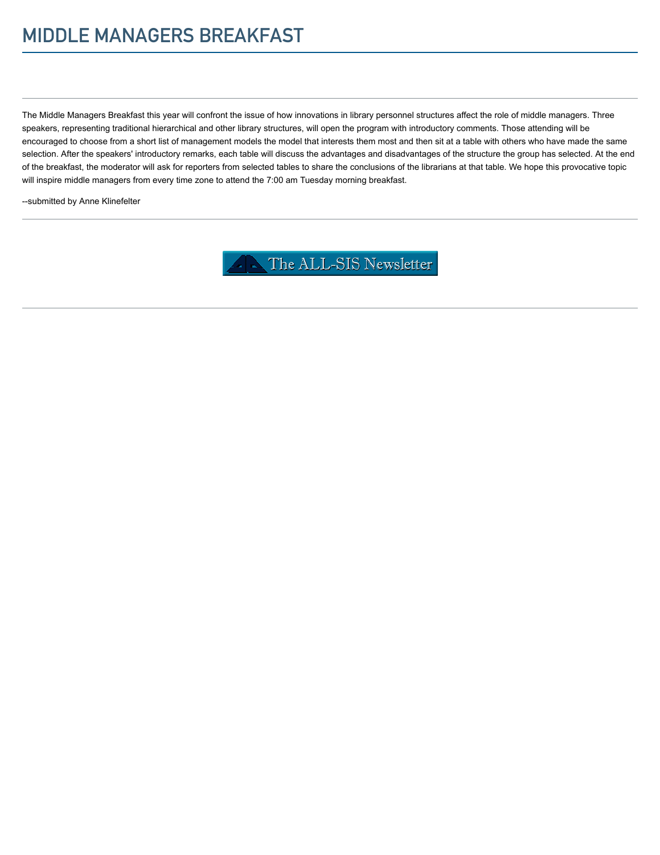The Middle Managers Breakfast this year will confront the issue of how innovations in library personnel structures affect the role of middle managers. Three speakers, representing traditional hierarchical and other library structures, will open the program with introductory comments. Those attending will be encouraged to choose from a short list of management models the model that interests them most and then sit at a table with others who have made the same selection. After the speakers' introductory remarks, each table will discuss the advantages and disadvantages of the structure the group has selected. At the end of the breakfast, the moderator will ask for reporters from selected tables to share the conclusions of the librarians at that table. We hope this provocative topic will inspire middle managers from every time zone to attend the 7:00 am Tuesday morning breakfast.

--submitted by Anne Klinefelter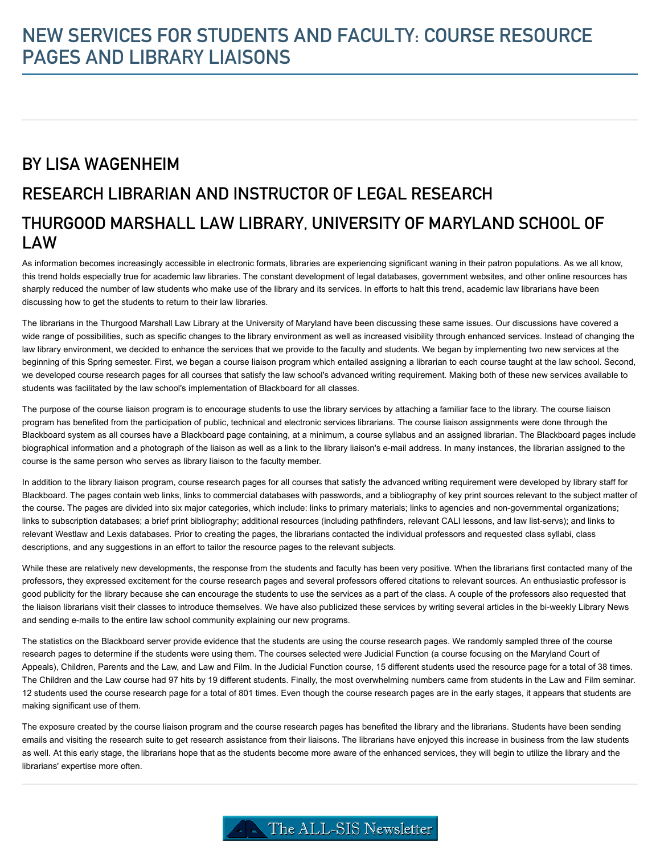### BY LISA WAGENHEIM

## RESEARCH LIBRARIAN AND INSTRUCTOR OF LEGAL RESEARCH THURGOOD MARSHALL LAW LIBRARY, UNIVERSITY OF MARYLAND SCHOOL OF LAW

As information becomes increasingly accessible in electronic formats, libraries are experiencing significant waning in their patron populations. As we all know, this trend holds especially true for academic law libraries. The constant development of legal databases, government websites, and other online resources has sharply reduced the number of law students who make use of the library and its services. In efforts to halt this trend, academic law librarians have been discussing how to get the students to return to their law libraries.

The librarians in the Thurgood Marshall Law Library at the University of Maryland have been discussing these same issues. Our discussions have covered a wide range of possibilities, such as specific changes to the library environment as well as increased visibility through enhanced services. Instead of changing the law library environment, we decided to enhance the services that we provide to the faculty and students. We began by implementing two new services at the beginning of this Spring semester. First, we began a course liaison program which entailed assigning a librarian to each course taught at the law school. Second, we developed course research pages for all courses that satisfy the law school's advanced writing requirement. Making both of these new services available to students was facilitated by the law school's implementation of Blackboard for all classes.

The purpose of the course liaison program is to encourage students to use the library services by attaching a familiar face to the library. The course liaison program has benefited from the participation of public, technical and electronic services librarians. The course liaison assignments were done through the Blackboard system as all courses have a Blackboard page containing, at a minimum, a course syllabus and an assigned librarian. The Blackboard pages include biographical information and a photograph of the liaison as well as a link to the library liaison's e-mail address. In many instances, the librarian assigned to the course is the same person who serves as library liaison to the faculty member.

In addition to the library liaison program, course research pages for all courses that satisfy the advanced writing requirement were developed by library staff for Blackboard. The pages contain web links, links to commercial databases with passwords, and a bibliography of key print sources relevant to the subject matter of the course. The pages are divided into six major categories, which include: links to primary materials; links to agencies and non-governmental organizations; links to subscription databases; a brief print bibliography; additional resources (including pathfinders, relevant CALI lessons, and law list-servs); and links to relevant Westlaw and Lexis databases. Prior to creating the pages, the librarians contacted the individual professors and requested class syllabi, class descriptions, and any suggestions in an effort to tailor the resource pages to the relevant subjects.

While these are relatively new developments, the response from the students and faculty has been very positive. When the librarians first contacted many of the professors, they expressed excitement for the course research pages and several professors offered citations to relevant sources. An enthusiastic professor is good publicity for the library because she can encourage the students to use the services as a part of the class. A couple of the professors also requested that the liaison librarians visit their classes to introduce themselves. We have also publicized these services by writing several articles in the bi-weekly Library News and sending e-mails to the entire law school community explaining our new programs.

The statistics on the Blackboard server provide evidence that the students are using the course research pages. We randomly sampled three of the course research pages to determine if the students were using them. The courses selected were Judicial Function (a course focusing on the Maryland Court of Appeals), Children, Parents and the Law, and Law and Film. In the Judicial Function course, 15 different students used the resource page for a total of 38 times. The Children and the Law course had 97 hits by 19 different students. Finally, the most overwhelming numbers came from students in the Law and Film seminar. 12 students used the course research page for a total of 801 times. Even though the course research pages are in the early stages, it appears that students are making significant use of them.

The exposure created by the course liaison program and the course research pages has benefited the library and the librarians. Students have been sending emails and visiting the research suite to get research assistance from their liaisons. The librarians have enjoyed this increase in business from the law students as well. At this early stage, the librarians hope that as the students become more aware of the enhanced services, they will begin to utilize the library and the librarians' expertise more often.

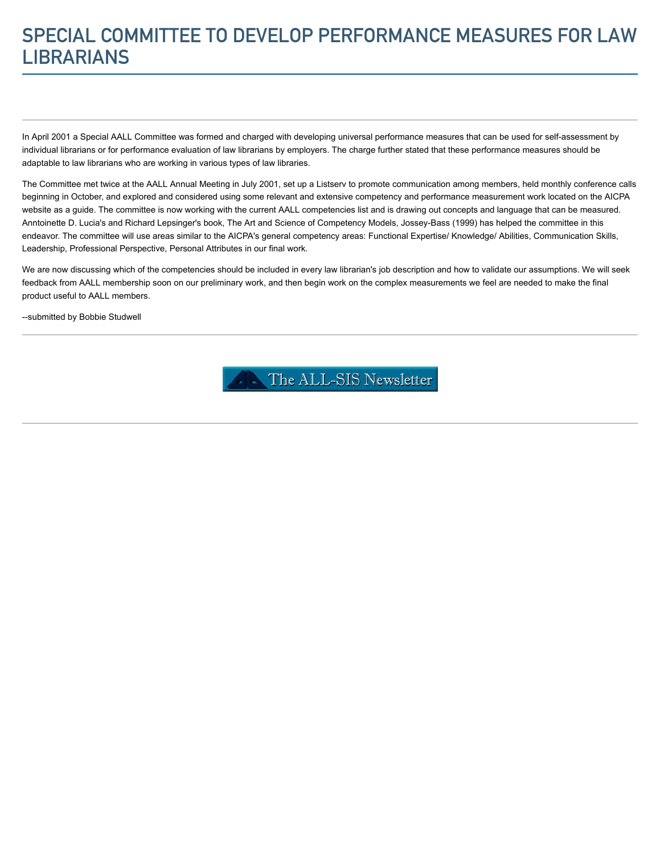## SPECIAL COMMITTEE TO DEVELOP PERFORMANCE MEASURES FOR LAW LIBRARIANS

In April 2001 a Special AALL Committee was formed and charged with developing universal performance measures that can be used for self-assessment by individual librarians or for performance evaluation of law librarians by employers. The charge further stated that these performance measures should be adaptable to law librarians who are working in various types of law libraries.

The Committee met twice at the AALL Annual Meeting in July 2001, set up a Listserv to promote communication among members, held monthly conference calls beginning in October, and explored and considered using some relevant and extensive competency and performance measurement work located on the AICPA website as a guide. The committee is now working with the current AALL competencies list and is drawing out concepts and language that can be measured. Anntoinette D. Lucia's and Richard Lepsinger's book, The Art and Science of Competency Models, Jossey-Bass (1999) has helped the committee in this endeavor. The committee will use areas similar to the AICPA's general competency areas: Functional Expertise/ Knowledge/ Abilities, Communication Skills, Leadership, Professional Perspective, Personal Attributes in our final work.

We are now discussing which of the competencies should be included in every law librarian's job description and how to validate our assumptions. We will seek feedback from AALL membership soon on our preliminary work, and then begin work on the complex measurements we feel are needed to make the final product useful to AALL members.

--submitted by Bobbie Studwell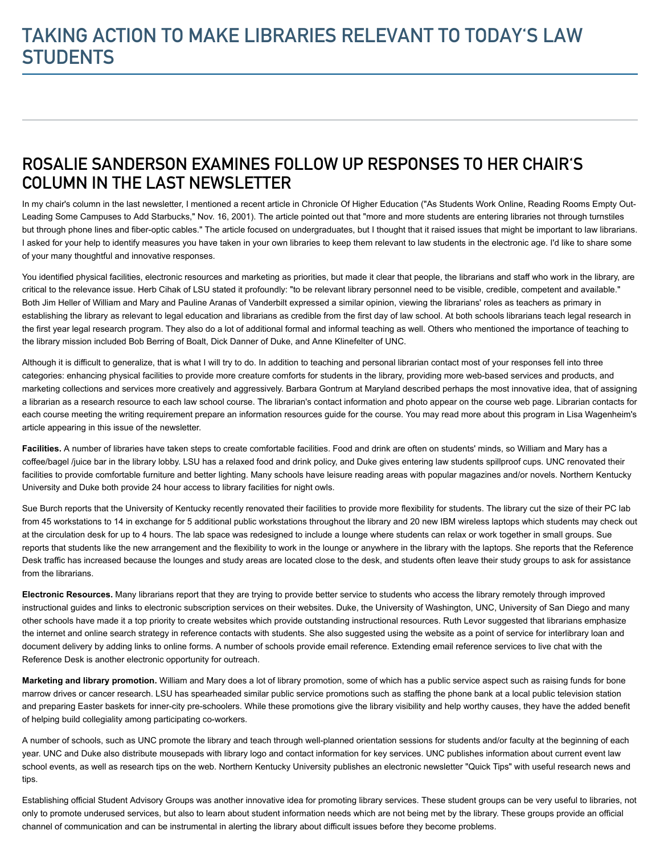### ROSALIE SANDERSON EXAMINES FOLLOW UP RESPONSES TO HER CHAIR'S COLUMN IN THE LAST NEWSLETTER

In my chair's column in the last newsletter. I mentioned a recent article in Chronicle Of Higher Education ("As Students Work Online, Reading Rooms Empty Out-Leading Some Campuses to Add Starbucks," Nov. 16, 2001). The article pointed out that "more and more students are entering libraries not through turnstiles but through phone lines and fiber-optic cables." The article focused on undergraduates, but I thought that it raised issues that might be important to law librarians. I asked for your help to identify measures you have taken in your own libraries to keep them relevant to law students in the electronic age. I'd like to share some of your many thoughtful and innovative responses.

You identified physical facilities, electronic resources and marketing as priorities, but made it clear that people, the librarians and staff who work in the library, are critical to the relevance issue. Herb Cihak of LSU stated it profoundly: "to be relevant library personnel need to be visible, credible, competent and available." Both Jim Heller of William and Mary and Pauline Aranas of Vanderbilt expressed a similar opinion, viewing the librarians' roles as teachers as primary in establishing the library as relevant to legal education and librarians as credible from the first day of law school. At both schools librarians teach legal research in the first year legal research program. They also do a lot of additional formal and informal teaching as well. Others who mentioned the importance of teaching to the library mission included Bob Berring of Boalt, Dick Danner of Duke, and Anne Klinefelter of UNC.

Although it is difficult to generalize, that is what I will try to do. In addition to teaching and personal librarian contact most of your responses fell into three categories: enhancing physical facilities to provide more creature comforts for students in the library, providing more web-based services and products, and marketing collections and services more creatively and aggressively. Barbara Gontrum at Maryland described perhaps the most innovative idea, that of assigning a librarian as a research resource to each law school course. The librarian's contact information and photo appear on the course web page. Librarian contacts for each course meeting the writing requirement prepare an information resources guide for the course. You may read more about this program in Lisa Wagenheim's article appearing in this issue of the newsletter.

Facilities. A number of libraries have taken steps to create comfortable facilities. Food and drink are often on students' minds, so William and Mary has a coffee/bagel /juice bar in the library lobby. LSU has a relaxed food and drink policy, and Duke gives entering law students spillproof cups. UNC renovated their facilities to provide comfortable furniture and better lighting. Many schools have leisure reading areas with popular magazines and/or novels. Northern Kentucky University and Duke both provide 24 hour access to library facilities for night owls.

Sue Burch reports that the University of Kentucky recently renovated their facilities to provide more flexibility for students. The library cut the size of their PC lab from 45 workstations to 14 in exchange for 5 additional public workstations throughout the library and 20 new IBM wireless laptops which students may check out at the circulation desk for up to 4 hours. The lab space was redesigned to include a lounge where students can relax or work together in small groups. Sue reports that students like the new arrangement and the flexibility to work in the lounge or anywhere in the library with the laptops. She reports that the Reference Desk traffic has increased because the lounges and study areas are located close to the desk, and students often leave their study groups to ask for assistance from the librarians.

Electronic Resources. Many librarians report that they are trying to provide better service to students who access the library remotely through improved instructional guides and links to electronic subscription services on their websites. Duke, the University of Washington, UNC, University of San Diego and many other schools have made it a top priority to create websites which provide outstanding instructional resources. Ruth Levor suggested that librarians emphasize the internet and online search strategy in reference contacts with students. She also suggested using the website as a point of service for interlibrary loan and document delivery by adding links to online forms. A number of schools provide email reference. Extending email reference services to live chat with the Reference Desk is another electronic opportunity for outreach.

Marketing and library promotion. William and Mary does a lot of library promotion, some of which has a public service aspect such as raising funds for bone marrow drives or cancer research. LSU has spearheaded similar public service promotions such as staffing the phone bank at a local public television station and preparing Easter baskets for inner-city pre-schoolers. While these promotions give the library visibility and help worthy causes, they have the added benefit of helping build collegiality among participating co-workers.

A number of schools, such as UNC promote the library and teach through well-planned orientation sessions for students and/or faculty at the beginning of each year. UNC and Duke also distribute mousepads with library logo and contact information for key services. UNC publishes information about current event law school events, as well as research tips on the web. Northern Kentucky University publishes an electronic newsletter "Quick Tips" with useful research news and tips.

Establishing official Student Advisory Groups was another innovative idea for promoting library services. These student groups can be very useful to libraries, not only to promote underused services, but also to learn about student information needs which are not being met by the library. These groups provide an official channel of communication and can be instrumental in alerting the library about difficult issues before they become problems.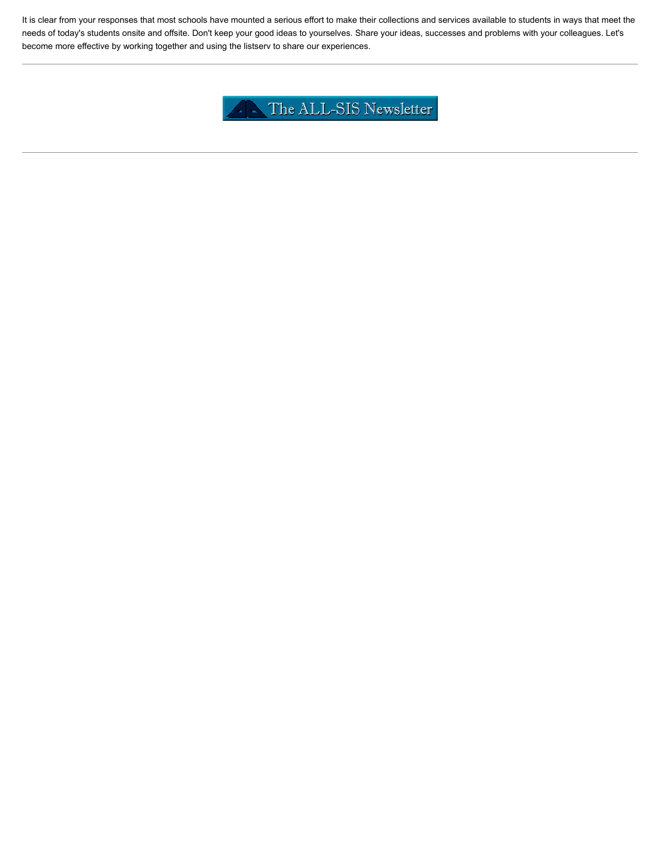It is clear from your responses that most schools have mounted a serious effort to make their collections and services available to students in ways that meet the needs of today's students onsite and offsite. Don't keep your good ideas to yourselves. Share your ideas, successes and problems with your colleagues. Let's become more effective by working together and using the listserv to share our experiences.

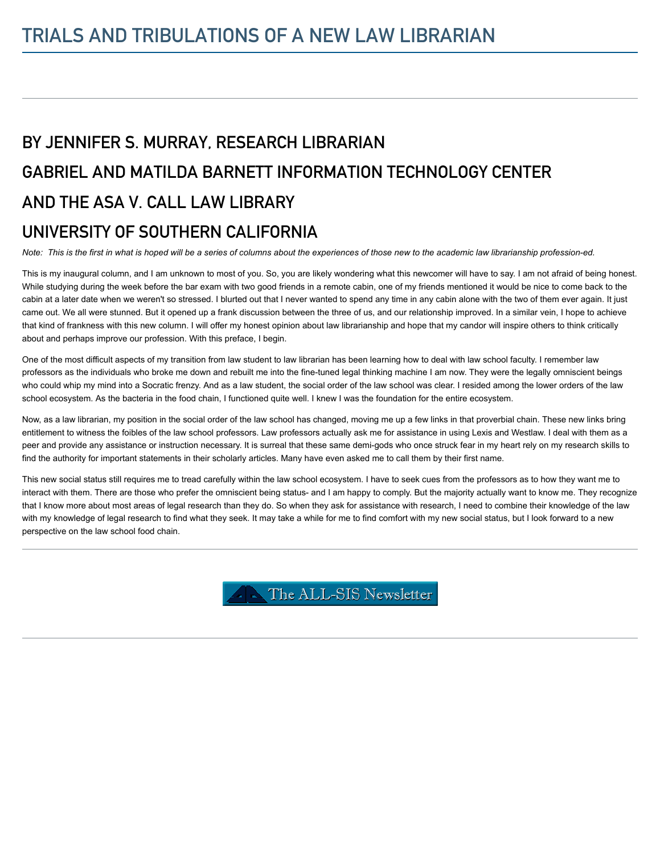# BY JENNIFER S. MURRAY, RESEARCH LIBRARIAN GABRIEL AND MATILDA BARNETT INFORMATION TECHNOLOGY CENTER AND THE ASA V. CALL LAW LIBRARY UNIVERSITY OF SOUTHERN CALIFORNIA

Note: This is the first in what is hoped will be a series of columns about the experiences of those new to the academic law librarianship profession-ed.

This is my inaugural column, and I am unknown to most of you. So, you are likely wondering what this newcomer will have to say. I am not afraid of being honest. While studying during the week before the bar exam with two good friends in a remote cabin, one of my friends mentioned it would be nice to come back to the cabin at a later date when we weren't so stressed. I blurted out that I never wanted to spend any time in any cabin alone with the two of them ever again. It just came out. We all were stunned. But it opened up a frank discussion between the three of us, and our relationship improved. In a similar vein, I hope to achieve that kind of frankness with this new column. I will offer my honest opinion about law librarianship and hope that my candor will inspire others to think critically about and perhaps improve our profession. With this preface, I begin.

One of the most difficult aspects of my transition from law student to law librarian has been learning how to deal with law school faculty. I remember law professors as the individuals who broke me down and rebuilt me into the fine-tuned legal thinking machine I am now. They were the legally omniscient beings who could whip my mind into a Socratic frenzy. And as a law student, the social order of the law school was clear. I resided among the lower orders of the law school ecosystem. As the bacteria in the food chain, I functioned quite well. I knew I was the foundation for the entire ecosystem.

Now, as a law librarian, my position in the social order of the law school has changed, moving me up a few links in that proverbial chain. These new links bring entitlement to witness the foibles of the law school professors. Law professors actually ask me for assistance in using Lexis and Westlaw. I deal with them as a peer and provide any assistance or instruction necessary. It is surreal that these same demi-gods who once struck fear in my heart rely on my research skills to find the authority for important statements in their scholarly articles. Many have even asked me to call them by their first name.

This new social status still requires me to tread carefully within the law school ecosystem. I have to seek cues from the professors as to how they want me to interact with them. There are those who prefer the omniscient being status- and I am happy to comply. But the majority actually want to know me. They recognize that I know more about most areas of legal research than they do. So when they ask for assistance with research, I need to combine their knowledge of the law with my knowledge of legal research to find what they seek. It may take a while for me to find comfort with my new social status, but I look forward to a new perspective on the law school food chain.

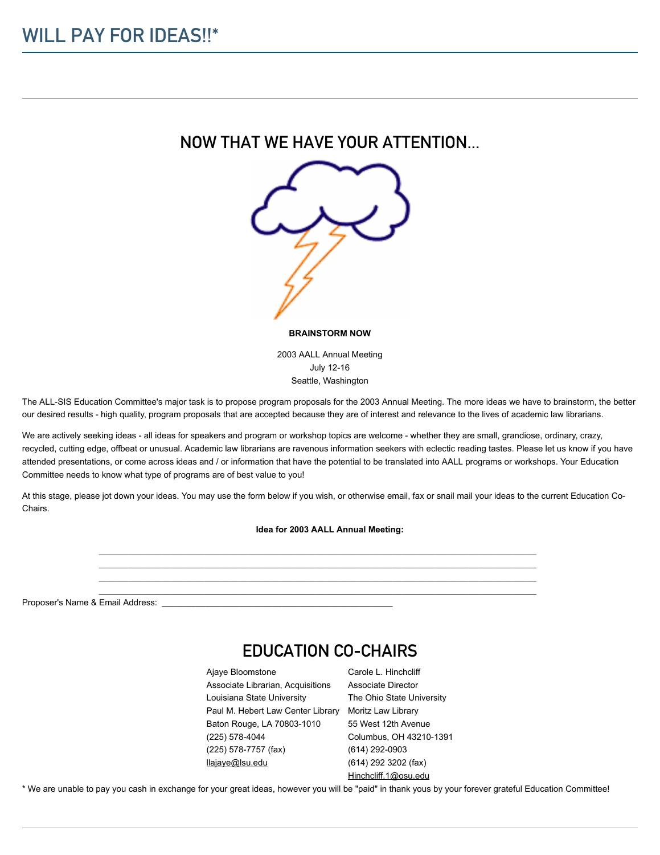#### NOW THAT WE HAVE YOUR ATTENTION...



2003 AALL Annual Meeting July 12-16 Seattle, Washington

The ALL-SIS Education Committee's major task is to propose program proposals for the 2003 Annual Meeting. The more ideas we have to brainstorm, the better our desired results - high quality, program proposals that are accepted because they are of interest and relevance to the lives of academic law librarians.

We are actively seeking ideas - all ideas for speakers and program or workshop topics are welcome - whether they are small, grandiose, ordinary, crazy, recycled, cutting edge, offbeat or unusual. Academic law librarians are ravenous information seekers with eclectic reading tastes. Please let us know if you have attended presentations, or come across ideas and / or information that have the potential to be translated into AALL programs or workshops. Your Education Committee needs to know what type of programs are of best value to you!

At this stage, please jot down your ideas. You may use the form below if you wish, or otherwise email, fax or snail mail your ideas to the current Education Co-Chairs.

Idea for 2003 AALL Annual Meeting:

\_\_\_\_\_\_\_\_\_\_\_\_\_\_\_\_\_\_\_\_\_\_\_\_\_\_\_\_\_\_\_\_\_\_\_\_\_\_\_\_\_\_\_\_\_\_\_\_\_\_\_\_\_\_\_\_\_\_\_\_\_\_\_\_\_\_\_\_\_\_\_\_\_\_\_\_\_\_\_\_\_\_\_\_\_\_\_\_\_\_\_ \_\_\_\_\_\_\_\_\_\_\_\_\_\_\_\_\_\_\_\_\_\_\_\_\_\_\_\_\_\_\_\_\_\_\_\_\_\_\_\_\_\_\_\_\_\_\_\_\_\_\_\_\_\_\_\_\_\_\_\_\_\_\_\_\_\_\_\_\_\_\_\_\_\_\_\_\_\_\_\_\_\_\_\_\_\_\_\_\_\_\_ \_\_\_\_\_\_\_\_\_\_\_\_\_\_\_\_\_\_\_\_\_\_\_\_\_\_\_\_\_\_\_\_\_\_\_\_\_\_\_\_\_\_\_\_\_\_\_\_\_\_\_\_\_\_\_\_\_\_\_\_\_\_\_\_\_\_\_\_\_\_\_\_\_\_\_\_\_\_\_\_\_\_\_\_\_\_\_\_\_\_\_ \_\_\_\_\_\_\_\_\_\_\_\_\_\_\_\_\_\_\_\_\_\_\_\_\_\_\_\_\_\_\_\_\_\_\_\_\_\_\_\_\_\_\_\_\_\_\_\_\_\_\_\_\_\_\_\_\_\_\_\_\_\_\_\_\_\_\_\_\_\_\_\_\_\_\_\_\_\_\_\_\_\_\_\_\_\_\_\_\_\_\_

Proposer's Name & Email Address:

#### EDUCATION CO-CHAIRS

Ajaye Bloomstone Carole L. Hinchcliff Associate Librarian, Acquisitions Associate Director Louisiana State University The Ohio State University Paul M. Hebert Law Center Library Moritz Law Library Baton Rouge, LA 70803-1010 55 West 12th Avenue (225) 578-4044 Columbus, OH 43210-1391 (225) 578-7757 (fax) (614) 292-0903 [llajaye@lsu.edu](mailto:llajaye@lsu.edu) (614) 292 3202 (fax)

[Hinchcliff.1@osu.edu](mailto:Hinchcliff.1@osu.edu%20)

\* We are unable to pay you cash in exchange for your great ideas, however you will be "paid" in thank yous by your forever grateful Education Committee!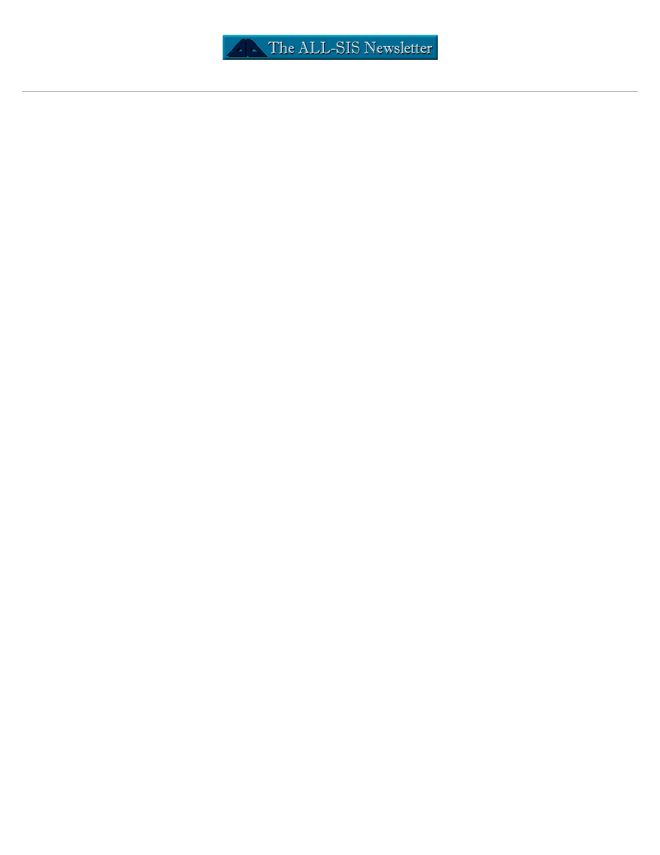